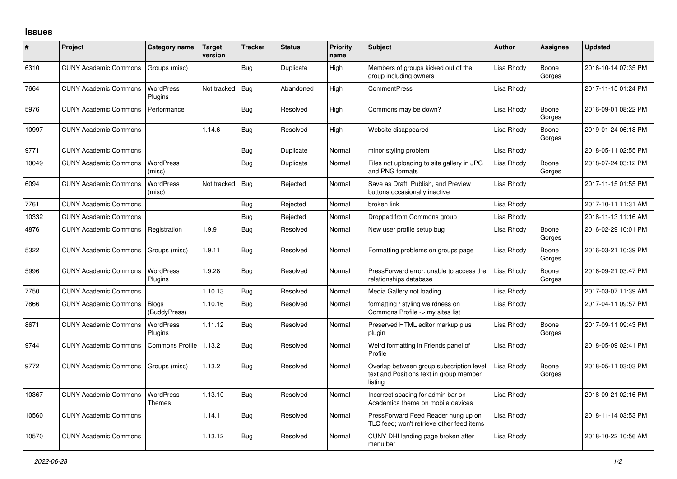## **Issues**

| $\vert$ # | Project                      | Category name                | Target<br>version | <b>Tracker</b> | <b>Status</b> | <b>Priority</b><br>name | <b>Subject</b>                                                                                 | <b>Author</b> | <b>Assignee</b> | <b>Updated</b>      |
|-----------|------------------------------|------------------------------|-------------------|----------------|---------------|-------------------------|------------------------------------------------------------------------------------------------|---------------|-----------------|---------------------|
| 6310      | <b>CUNY Academic Commons</b> | Groups (misc)                |                   | Bug            | Duplicate     | High                    | Members of groups kicked out of the<br>group including owners                                  | Lisa Rhody    | Boone<br>Gorges | 2016-10-14 07:35 PM |
| 7664      | <b>CUNY Academic Commons</b> | WordPress<br>Plugins         | Not tracked       | <b>Bug</b>     | Abandoned     | High                    | <b>CommentPress</b>                                                                            | Lisa Rhody    |                 | 2017-11-15 01:24 PM |
| 5976      | <b>CUNY Academic Commons</b> | Performance                  |                   | Bug            | Resolved      | High                    | Commons may be down?                                                                           | Lisa Rhody    | Boone<br>Gorges | 2016-09-01 08:22 PM |
| 10997     | <b>CUNY Academic Commons</b> |                              | 1.14.6            | Bug            | Resolved      | High                    | Website disappeared                                                                            | Lisa Rhody    | Boone<br>Gorges | 2019-01-24 06:18 PM |
| 9771      | <b>CUNY Academic Commons</b> |                              |                   | Bug            | Duplicate     | Normal                  | minor styling problem                                                                          | Lisa Rhody    |                 | 2018-05-11 02:55 PM |
| 10049     | <b>CUNY Academic Commons</b> | <b>WordPress</b><br>(misc)   |                   | Bug            | Duplicate     | Normal                  | Files not uploading to site gallery in JPG<br>and PNG formats                                  | Lisa Rhody    | Boone<br>Gorges | 2018-07-24 03:12 PM |
| 6094      | <b>CUNY Academic Commons</b> | WordPress<br>(misc)          | Not tracked       | Bug            | Rejected      | Normal                  | Save as Draft, Publish, and Preview<br>buttons occasionally inactive                           | Lisa Rhody    |                 | 2017-11-15 01:55 PM |
| 7761      | <b>CUNY Academic Commons</b> |                              |                   | <b>Bug</b>     | Rejected      | Normal                  | broken link                                                                                    | Lisa Rhody    |                 | 2017-10-11 11:31 AM |
| 10332     | <b>CUNY Academic Commons</b> |                              |                   | <b>Bug</b>     | Rejected      | Normal                  | Dropped from Commons group                                                                     | Lisa Rhody    |                 | 2018-11-13 11:16 AM |
| 4876      | <b>CUNY Academic Commons</b> | Registration                 | 1.9.9             | Bug            | Resolved      | Normal                  | New user profile setup bug                                                                     | Lisa Rhody    | Boone<br>Gorges | 2016-02-29 10:01 PM |
| 5322      | <b>CUNY Academic Commons</b> | Groups (misc)                | 1.9.11            | Bug            | Resolved      | Normal                  | Formatting problems on groups page                                                             | Lisa Rhody    | Boone<br>Gorges | 2016-03-21 10:39 PM |
| 5996      | <b>CUNY Academic Commons</b> | <b>WordPress</b><br>Plugins  | 1.9.28            | Bug            | Resolved      | Normal                  | PressForward error: unable to access the<br>relationships database                             | Lisa Rhody    | Boone<br>Gorges | 2016-09-21 03:47 PM |
| 7750      | <b>CUNY Academic Commons</b> |                              | 1.10.13           | Bug            | Resolved      | Normal                  | Media Gallery not loading                                                                      | Lisa Rhody    |                 | 2017-03-07 11:39 AM |
| 7866      | <b>CUNY Academic Commons</b> | <b>Blogs</b><br>(BuddyPress) | 1.10.16           | <b>Bug</b>     | Resolved      | Normal                  | formatting / styling weirdness on<br>Commons Profile -> my sites list                          | Lisa Rhody    |                 | 2017-04-11 09:57 PM |
| 8671      | <b>CUNY Academic Commons</b> | WordPress<br>Plugins         | 1.11.12           | Bug            | Resolved      | Normal                  | Preserved HTML editor markup plus<br>plugin                                                    | Lisa Rhody    | Boone<br>Gorges | 2017-09-11 09:43 PM |
| 9744      | <b>CUNY Academic Commons</b> | Commons Profile              | 1.13.2            | <b>Bug</b>     | Resolved      | Normal                  | Weird formatting in Friends panel of<br>Profile                                                | Lisa Rhody    |                 | 2018-05-09 02:41 PM |
| 9772      | <b>CUNY Academic Commons</b> | Groups (misc)                | 1.13.2            | Bug            | Resolved      | Normal                  | Overlap between group subscription level<br>text and Positions text in group member<br>listing | Lisa Rhody    | Boone<br>Gorges | 2018-05-11 03:03 PM |
| 10367     | <b>CUNY Academic Commons</b> | WordPress<br>Themes          | 1.13.10           | Bug            | Resolved      | Normal                  | Incorrect spacing for admin bar on<br>Academica theme on mobile devices                        | Lisa Rhody    |                 | 2018-09-21 02:16 PM |
| 10560     | <b>CUNY Academic Commons</b> |                              | 1.14.1            | Bug            | Resolved      | Normal                  | PressForward Feed Reader hung up on<br>TLC feed; won't retrieve other feed items               | Lisa Rhody    |                 | 2018-11-14 03:53 PM |
| 10570     | <b>CUNY Academic Commons</b> |                              | 1.13.12           | Bug            | Resolved      | Normal                  | CUNY DHI landing page broken after<br>menu bar                                                 | Lisa Rhody    |                 | 2018-10-22 10:56 AM |